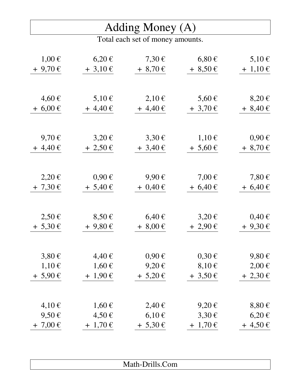#### Adding Money (A)

| $1,00 \in$   | $6,20 \in$   | $7,30 \in$   | $6,80 \in$   | 5,10 €       |
|--------------|--------------|--------------|--------------|--------------|
| $+9,70 \in$  | $+3,10 \in$  | $+8,70 \in$  | $+8,50 \in$  | $+ 1,10 \in$ |
|              |              |              |              |              |
|              |              |              |              |              |
| $4,60 \in$   | $5,10 \in$   | $2,10 \in$   | $5,60 \in$   | $8,20 \in$   |
| $+6,00 \in$  | $+4,40 \in$  | $+4,40 \in$  | $+3,70 \in$  | $+8,40 \in$  |
|              |              |              |              |              |
|              |              |              |              |              |
| 9,70 $\xi$   | $3,20 \in$   | $3,30 \in$   | $1,10 \in$   | $0,90 \in$   |
| $+4,40 \in$  | $+2,50 \in$  | $+3,40 \in$  | $+ 5,60 \in$ | $+8,70 \in$  |
|              |              |              |              |              |
|              |              |              |              |              |
| $2,20 \in$   | $0,90 \in$   | $9,90 \in$   | $7,00 \in$   | $7,80 \in$   |
| $+ 7,30 \in$ | $+ 5,40 \in$ | $+ 0,40 \in$ | $+6,40 \in$  | $+6,40 \in$  |
|              |              |              |              |              |
|              |              |              |              |              |
| $2,50 \in$   | $8,50 \in$   | $6,40 \in$   | $3,20 \in$   | $0,40 \in$   |
| $+ 5,30 \in$ | $+9,80 \in$  | $+8,00 \in$  | $+2,90 \in$  | $+9,30 \in$  |
|              |              |              |              |              |
| $3,80 \in$   | 4,40€        | $0,90 \in$   | $0,30 \in$   | $9,80 \in$   |
| 1,10€        | 1,60€        | 9,20€        | $8,10 \in$   | $2,00 \in$   |
| $+ 5,90 \in$ | $+1,90 \in$  | $+ 5,20 \in$ | $+3,50 \in$  | $+ 2,30 \in$ |
|              |              |              |              |              |
|              |              |              |              |              |
| $4,10 \in$   | $1,60 \in$   | 2,40€        | 9,20€        | $8,80 \in$   |
| $9,50 \in$   | 4,50€        | $6,10 \in$   | 3,30€        | $6,20 \in$   |
| $+ 7,00 \in$ | $+ 1,70 \in$ | $+ 5,30 \in$ | $+ 1,70 \in$ | $+4,50 \in$  |

| $\blacksquare$ | $\cdot$ 11<br>`om<br>$\ldots$ |
|----------------|-------------------------------|
|                |                               |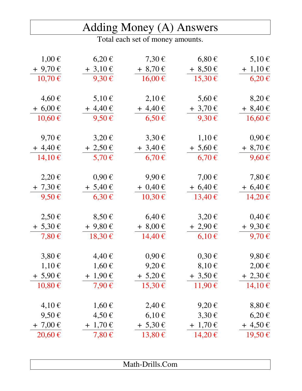## Adding Money (A) Answers

| $1,00 \in$   | $6,20 \in$    | $7,30 \in$   | $6,80 \in$   | 5,10 €       |
|--------------|---------------|--------------|--------------|--------------|
| $+9,70 \in$  | $+3,10 \in$   | $+8,70 \in$  | $+8,50 \in$  | $+ 1,10 \in$ |
| $10,70 \in$  | 9,30€         | 16,00€       | 15,30€       | $6,20 \in$   |
|              |               |              |              |              |
| $4,60 \in$   | $5,10 \in$    | $2,10 \in$   | $5,60 \in$   | $8,20 \in$   |
| $+6,00 \in$  | $+4,40 \in$   | $+4,40 \in$  | $+3,70 \in$  | $+8,40 \in$  |
| 10,60€       | $9,50 \in$    | $6,50 \in$   | $9,30 \in$   | 16,60€       |
|              |               |              |              |              |
| 9,70€        | $3,20 \in$    | $3,30 \in$   | $1,10 \in$   | $0,90 \in$   |
| $+4,40 \in$  | $+2,50 \in$   | $+3,40 \in$  | $+ 5,60 \in$ | $+8,70 \in$  |
| 14,10€       | 5,70 €        | $6,70 \in$   | $6,70 \in$   | $9,60 \in$   |
|              |               |              |              |              |
| $2,20 \in$   | $0,90 \in$    | $9,90 \in$   | $7,00 \in$   | $7,80 \in$   |
| $+7,30 \in$  | $+ 5,40 \in$  | $+ 0,40 \in$ | $+6,40 \in$  | $+6,40 \in$  |
| $9,50 \in$   | $6,30 \in$    | 10,30€       | 13,40€       | 14,20€       |
|              |               |              |              |              |
| $2,50 \in$   | $8,50 \in$    | $6,40 \in$   | $3,20 \in$   | $0,40 \in$   |
| $+ 5,30 \in$ | $+9,80 \in$   | $+8,00 \in$  | $+2,90 \in$  | $+9,30 \in$  |
| 7,80€        | 18,30€        | 14,40€       | $6,10 \in$   | 9,70€        |
|              |               |              |              |              |
| $3,80 \in$   | $4,40 \in$    | $0,90 \in$   | $0,30 \in$   | $9,80 \in$   |
| $1,10 \in$   | $1,60 \notin$ | $9,20 \in$   | $8,10 \in$   | $2,00 \in$   |
| $+ 5,90 \in$ | $+ 1,90 \in$  | $+ 5,20 \in$ | $+3,50 \in$  | $+ 2,30 \in$ |
| 10,80€       | 7,90€         | 15,30€       | 11,90€       | 14,10€       |
|              |               |              |              |              |
| 4,10€        | $1,60 \in$    | 2,40€        | $9,20 \in$   | $8,80 \in$   |
| $9,50 \in$   | 4,50€         | $6,10 \in$   | $3,30 \in$   | $6,20 \in$   |
| $+ 7,00 \in$ | $+ 1,70 \in$  | $+ 5,30 \in$ | $+ 1,70 \in$ | $+4,50 \in$  |
| 20,60€       | $7,80 \in$    | 13,80€       | 14,20€       | 19,50€       |
|              |               |              |              |              |

| Math-Drills.Com |
|-----------------|
|-----------------|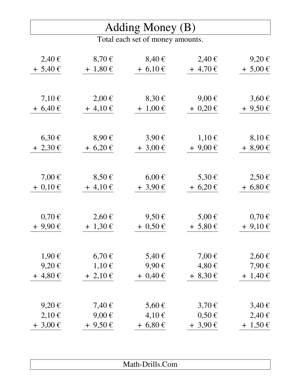#### Adding Money (B)

| 2,40€        | 8,70€        | 8,40€        | 2,40€        | $9,20 \in$   |
|--------------|--------------|--------------|--------------|--------------|
| $+ 5,40 \in$ | $+ 1,80 \in$ | $+6,10 \in$  | $+4,70 \in$  | $+ 5,00 \in$ |
|              |              |              |              |              |
|              |              |              |              |              |
| $7,10 \in$   | $2,00 \in$   | $8,30 \in$   | $9,00 \in$   | $3,60 \in$   |
| $+6,40 \in$  | $+4,10 \in$  | $+ 1,00 \in$ | $+ 0,20 \in$ | $+9,50 \in$  |
|              |              |              |              |              |
| $6,30 \in$   | $8,90 \in$   | $3,90 \in$   | $1,10 \in$   | $8,10 \in$   |
| $+2,30 \in$  | $+6,20 \in$  | $+3,00 \in$  | $+9,00 \in$  | $+8,90 \in$  |
|              |              |              |              |              |
| 7,00 $\xi$   | $8,50 \in$   | $6,00 \in$   | 5,30 €       | $2,50 \in$   |
| $+ 0.10 \in$ | $+4,10 \in$  | $+3,90 \in$  | $+6,20 \in$  | $+6,80 \in$  |
|              |              |              |              |              |
|              |              |              |              |              |
| $0,70 \in$   | $2,60 \in$   | $9,50 \in$   | $5,00 \in$   | $0,70 \in$   |
| $+9,90 \in$  | $+ 1,30 \in$ | $+ 0.50 \in$ | $+ 5,80 \in$ | $+9,10 \in$  |
|              |              |              |              |              |
| 1,90€        | $6,70 \in$   | $5,40 \in$   | 7,00 $\in$   | $2,60 \in$   |
| $9,20 \in$   | $1,10 \in$   | 9,90€        | 4,80€        | 7,90€        |
| $+4,80 \in$  | $+ 2,10 \in$ | $+ 0,40 \in$ | $+8,30 \in$  | $+ 1,40 \in$ |
|              |              |              |              |              |
| 9,20€        | 7,40 €       | $5,60 \in$   | $3,70 \in$   | $3,40 \in$   |
| $2,10 \in$   | $9,00 \in$   | $4,10 \in$   | $0,50 \in$   | 2,40€        |
| $+3,00 \in$  | $+9,50 \in$  | $+6,80 \in$  | $+3,90 \in$  | $+ 1,50 \in$ |

| Math-Drills.Com |  |
|-----------------|--|
|                 |  |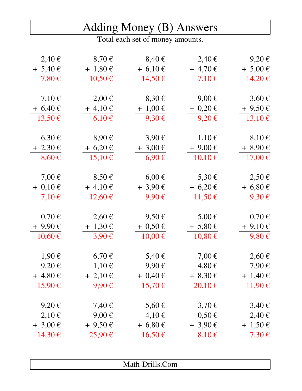|  | Adding Money (B) Answers |
|--|--------------------------|
|  |                          |

Total each set of money amounts.

| 2,40€        | $8,70 \in$   | 8,40€        | 2,40€        | $9,20 \in$   |
|--------------|--------------|--------------|--------------|--------------|
| $+ 5,40 \in$ | $+ 1,80 \in$ | $+6,10 \in$  | $+4,70 \in$  | $+ 5,00 \in$ |
| $7,80 \in$   | 10,50€       | 14,50€       | $7,10 \in$   | 14,20€       |
|              |              |              |              |              |
| $7,10 \in$   | $2,00 \in$   | $8,30 \in$   | $9,00 \in$   | $3,60 \in$   |
| $+6,40 \in$  | $+4,10 \in$  | $+1,00 \in$  | $+ 0,20 \in$ | $+9,50 \in$  |
| 13,50€       | $6,10 \in$   | $9,30 \in$   | $9,20 \in$   | 13,10€       |
| $6,30 \in$   | $8,90 \in$   | $3,90 \in$   | $1,10 \in$   | $8,10 \in$   |
| $+2,30 \in$  | $+ 6,20 \in$ | $+3,00 \in$  | $+9,00 \in$  | $+8,90 \in$  |
| $8,60 \in$   | $15,10 \in$  | $6,90 \in$   | $10,10 \in$  | $17,00 \in$  |
| 7,00 $\xi$   | $8,50 \in$   | $6,00 \in$   | 5,30 €       | $2,50 \in$   |
|              |              |              |              |              |
| $+ 0,10 \in$ | $+4,10 \in$  | $+3,90 \in$  | $+ 6,20 \in$ | $+6,80 \in$  |
| $7,10 \in$   | $12,60 \in$  | $9,90 \in$   | 11,50€       | $9,30 \in$   |
| $0,70 \in$   | $2,60 \in$   | $9,50 \in$   | $5,00 \in$   | $0,70 \in$   |
| $+9,90 \in$  | $+ 1,30 \in$ | $+ 0,50 \in$ | $+ 5,80 \in$ | $+9,10 \in$  |
| 10,60€       | $3,90 \in$   | 10,00€       | 10,80€       | $9,80 \in$   |
| $1,90 \in$   | $6,70 \in$   | $5,40 \in$   | 7,00 $\in$   | $2,60 \in$   |
|              |              |              |              |              |
| $9,20 \in$   | $1,10 \in$   | $9,90 \in$   | 4,80€        | 7,90€        |
| $+4,80 \in$  | $+ 2,10 \in$ | $+ 0,40 \in$ | $+8,30 \in$  | $+ 1,40 \in$ |
| 15,90€       | $9,90 \in$   | 15,70€       | $20,10 \in$  | 11,90€       |
| $9,20 \in$   | 7,40 €       | $5,60 \in$   | $3,70 \in$   | $3,40 \in$   |
| $2,10 \in$   | $9,00 \in$   | $4,10 \in$   | $0,50 \in$   | 2,40€        |
| $+3,00 \in$  | $+9,50 \in$  | $+6,80 \in$  | $+3,90 \in$  | $+ 1,50 \in$ |
| 14,30€       | 25,90€       | 16,50€       | $8,10 \in$   | $7,30 \in$   |
|              |              |              |              |              |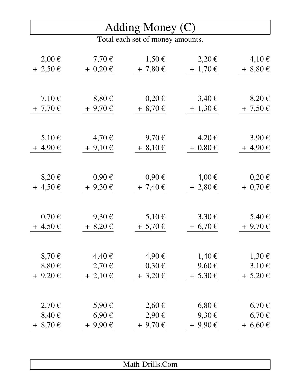#### Adding Money (C)

| $2,00 \in$  | $7,70 \in$   | $1,50 \in$   | $2,20 \in$   | 4,10€        |
|-------------|--------------|--------------|--------------|--------------|
| $+2,50 \in$ | $+ 0,20 \in$ | $+ 7,80 \in$ | $+ 1,70 \in$ | $+8,80 \in$  |
|             |              |              |              |              |
|             |              |              |              |              |
| $7,10 \in$  | $8,80 \in$   | $0,20 \in$   | $3,40 \in$   | $8,20 \in$   |
| $+7,70$ €   | $+9,70 \in$  | $+8,70 \in$  | $+ 1,30 \in$ | $+ 7,50 \in$ |
|             |              |              |              |              |
|             |              |              |              |              |
| $5,10 \in$  | 4,70€        | 9,70€        | 4,20€        | $3,90 \in$   |
| $+4,90 \in$ | $+9,10 \in$  | $+8,10 \in$  | $+ 0.80 \in$ | $+4,90 \in$  |
|             |              |              |              |              |
|             |              |              |              |              |
| $8,20 \in$  | $0.90 \in$   | $0,90 \in$   | 4,00€        | $0,20 \in$   |
| $+4,50 \in$ | $+9,30 \in$  | $+ 7,40 \in$ | $+2,80 \in$  | $+ 0,70 \in$ |
|             |              |              |              |              |
| $0,70 \in$  | $9,30 \in$   | $5,10 \in$   | $3,30 \in$   | 5,40 €       |
| $+4,50 \in$ | $+8,20 \in$  | $+ 5,70 \in$ | $+ 6,70 \in$ | $+9,70 \in$  |
|             |              |              |              |              |
|             |              |              |              |              |
| $8,70 \in$  | 4,40€        | 4,90€        | 1,40€        | 1,30€        |
| $8,80 \in$  | $2,70 \in$   | $0,30 \in$   | $9,60 \in$   | $3,10 \in$   |
| $+9,20 \in$ | $+2,10 \in$  | $+3,20 \in$  | $+ 5,30 \in$ | $+ 5,20 \in$ |
|             |              |              |              |              |
| 2,70€       | 5,90€        | $2,60 \in$   | $6,80 \in$   | $6,70 \in$   |
| $8,40 \in$  | 6,90€        | $2,90 \in$   | $9,30 \in$   | 6,70€        |
| $+8,70 \in$ | $+9,90 \in$  | $+9,70$ €    | $+9,90 \in$  | $+6,60 \in$  |
|             |              |              |              |              |

| - -<br><b>OIII</b><br>. .<br><i>INAUL DIMERICALE</i> |
|------------------------------------------------------|
|                                                      |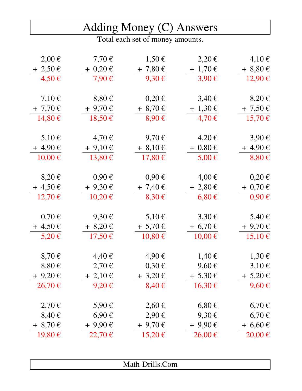|              |              | Adding Money (C) Answers         |              |              |
|--------------|--------------|----------------------------------|--------------|--------------|
|              |              | Total each set of money amounts. |              |              |
| $2,00 \in$   | $7,70 \in$   | $1,50 \in$                       | 2,20€        | $4,10 \in$   |
| $+ 2,50 \in$ | $+ 0,20 \in$ | $+ 7,80 \in$                     | $+ 1,70 \in$ | $+8,80 \in$  |
| $4,50 \in$   | $7,90 \in$   | $9,30 \in$                       | $3,90 \in$   | 12,90€       |
| $7,10 \in$   | $8,80 \in$   | $0,20 \in$                       | $3,40 \in$   | $8,20 \in$   |
| $+ 7,70 \in$ | $+9,70 \in$  | $+8,70 \in$                      | $+ 1,30 \in$ | $+ 7,50 \in$ |
| 14,80€       | $18,50 \in$  | $8,90 \in$                       | 4,70€        | 15,70€       |
| $5,10 \in$   | $4,70 \in$   | 9,70€                            | $4,20 \in$   | 3,90€        |
| $+4,90 \in$  | $+9,10 \in$  | $+8,10 \in$                      | $+ 0,80 \in$ | $+4,90 \in$  |
| $10,00 \in$  | 13,80€       | $17,80 \in$                      | $5,00 \in$   | $8,80 \in$   |
| $8,20 \in$   | $0,90 \in$   | $0,90 \in$                       | 4,00€        | $0,20 \in$   |
| $+4,50 \in$  | $+9,30 \in$  | $+ 7,40 \in$                     | $+ 2,80 \in$ | $+ 0,70 \in$ |
| $12,70 \in$  | $10,20 \in$  | $8,30 \in$                       | $6,80 \in$   | $0,90 \in$   |
| $0,70 \in$   | $9,30 \in$   | $5,10 \in$                       | $3,30 \in$   | 5,40 €       |
| $+4,50 \in$  | $+8,20 \in$  | $+ 5,70 \in$                     | $+ 6,70 \in$ | $+9,70$ €    |
| 5,20€        | 17,50€       | 10,80€                           | $10,00 \in$  | $15,10 \in$  |
| $8,70 \in$   | 4,40€        | 4,90€                            | 1,40€        | 1,30€        |
| $8,80 \in$   | $2,70 \in$   | $0,30 \in$                       | $9,60 \in$   | $3,10 \in$   |
| $+9,20 \in$  | $+2,10 \in$  | $+3,20 \in$                      | $+ 5,30 \in$ | $+ 5,20 \in$ |
| $26,70 \in$  | $9,20 \in$   | $8,40 \in$                       | 16,30€       | 9,60€        |
| 2,70€        | $5,90 \in$   | $2,60 \in$                       | $6,80 \in$   | 6,70€        |
| $8,40 \in$   | $6,90 \in$   | $2,90 \in$                       | $9,30 \in$   | 6,70€        |
| $+8,70 \in$  | $+9,90 \in$  | $+9,70 \in$                      | $+9,90 \in$  | $+6,60 \in$  |
| 19,80€       | $22,70 \in$  | $15,20 \in$                      | $26,00 \in$  | $20,00 \in$  |
|              |              |                                  |              |              |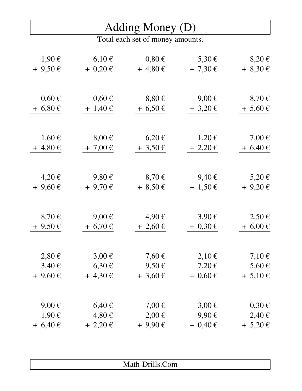#### Adding Money (D)

| 1,90€       | $6,10 \in$   | $0.80 \in$      | $5,30 \in$   | $8,20 \in$   |
|-------------|--------------|-----------------|--------------|--------------|
| $+9,50 \in$ | $+ 0,20 \in$ | $+4,80 \in$     | $+ 7,30 \in$ | $+8,30 \in$  |
|             |              |                 |              |              |
|             |              |                 |              |              |
| $0,60 \in$  | $0,60 \in$   | $8,80 \in$      | $9,00 \in$   | $8,70 \in$   |
| $+6,80 \in$ | $+ 1,40 \in$ | $+6,50 \in$     | $+3,20 \in$  | $+ 5,60 \in$ |
|             |              |                 |              |              |
|             |              |                 |              |              |
| 1,60€       | $8,00 \in$   | $6,20 \in$      | $1,20 \in$   | $7,00 \in$   |
| $+4,80 \in$ | $+7,00 \in$  | $+3,50 \in$     | $+2,20 \in$  | $+6,40 \in$  |
|             |              |                 |              |              |
|             |              |                 |              |              |
| 4,20€       | $9,80 \in$   | $8,70 \in$      | 9,40€        | 5,20€        |
| $+9,60 \in$ | $+9,70$ €    | $+8,50 \in$     | $+ 1,50 \in$ | $+9,20 \in$  |
|             |              |                 |              |              |
|             |              |                 |              |              |
| $8,70 \in$  | $9,00 \in$   | 4,90€           | $3,90 \in$   | $2,50 \in$   |
| $+9,50 \in$ | $+6,70 \in$  | $+2,60 \in$     | $+ 0,30 \in$ | $+6,00 \in$  |
|             |              |                 |              |              |
|             |              |                 |              |              |
| $2,80 \in$  | $3,00 \in$   | 7,60 $\epsilon$ | $2,10 \in$   | $7,10 \in$   |
| $3,40 \in$  | $6,30 \in$   | $9,50 \in$      | 7,20€        | 5,60 €       |
| $+9,60 \in$ | $+4,30 \in$  | $+3,60 \in$     | $+ 0,60 \in$ | $+ 5,10 \in$ |
|             |              |                 |              |              |
|             |              |                 |              |              |
| $9,00 \in$  | $6,40 \in$   | $7,00 \in$      | $3,00 \in$   | $0,30 \in$   |
| 1,90€       | 4,80€        | $2,00 \in$      | $9,90 \in$   | 2,40€        |
| $+6,40 \in$ | $+2,20 \in$  | $+9,90 \in$     | $+ 0,40 \in$ | $+ 5,20 \in$ |

| Math-Drills.Com |
|-----------------|
|                 |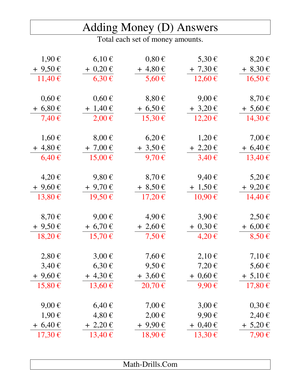# Adding Money (D) Answers

| $1,90 \in$  | $6,10 \in$   | $0,80 \in$  | 5,30 €       | $8,20 \in$   |
|-------------|--------------|-------------|--------------|--------------|
| $+9,50 \in$ | $+ 0,20 \in$ | $+4,80 \in$ | $+ 7,30 \in$ | $+8,30 \in$  |
| 11,40€      | $6,30 \in$   | $5,60 \in$  | 12,60€       | 16,50€       |
| $0,60 \in$  | $0,60 \in$   | $8,80 \in$  | $9,00 \in$   | $8,70 \in$   |
|             |              |             |              |              |
| $+6,80 \in$ | $+ 1,40 \in$ | $+6,50 \in$ | $+3,20 \in$  | $+ 5,60 \in$ |
| 7,40€       | $2,00 \in$   | 15,30€      | $12,20 \in$  | 14,30€       |
| $1,60 \in$  | $8,00 \in$   | $6,20 \in$  | $1,20 \in$   | $7,00 \in$   |
| $+4,80 \in$ | $+ 7,00 \in$ | $+3,50 \in$ | $+ 2,20 \in$ | $+6,40 \in$  |
| $6,40 \in$  | 15,00€       | 9,70€       | $3,40 \in$   | 13,40€       |
|             | $9,80 \in$   |             | 9,40€        |              |
| 4,20€       |              | $8,70 \in$  |              | 5,20€        |
| $+9,60 \in$ | $+9,70$ €    | $+8,50 \in$ | $+ 1,50 \in$ | $+9,20 \in$  |
| 13,80€      | 19,50€       | $17,20 \in$ | $10,90 \in$  | 14,40€       |
| $8,70 \in$  | $9,00 \in$   | 4,90€       | $3,90 \in$   | $2,50 \in$   |
| $+9,50 \in$ | $+6,70 \in$  | $+2,60 \in$ | $+ 0,30 \in$ | $+6,00 \in$  |
| $18,20 \in$ | 15,70€       | $7,50 \in$  | 4,20€        | $8,50 \in$   |
| $2,80 \in$  | $3,00 \in$   | $7,60 \in$  | $2,10 \in$   | $7,10 \in$   |
| $3,40 \in$  | $6,30 \in$   | $9,50 \in$  | 7,20€        | $5,60 \in$   |
| $+9,60 \in$ | $+4,30 \in$  | $+3,60 \in$ | $+ 0,60 \in$ | $+ 5,10 \in$ |
| 15,80€      | 13,60€       | 20,70€      | 9,90€        | 17,80€       |
|             |              |             |              |              |
| $9,00 \in$  | $6,40 \in$   | $7,00 \in$  | $3,00 \in$   | $0,30 \in$   |
| 1,90€       | $4,80 \in$   | $2,00 \in$  | 9,90€        | 2,40€        |
| $+6,40 \in$ | $+ 2,20 \in$ | $+9,90 \in$ | $+ 0,40 \in$ | $+ 5,20 \in$ |
| 17,30€      | 13,40€       | 18,90€      | 13,30€       | 7,90€        |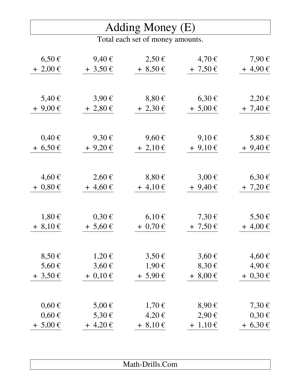#### Adding Money (E)

| $6,50 \in$   | 9,40€        | $2,50 \in$   | 4,70€        | 7,90€        |
|--------------|--------------|--------------|--------------|--------------|
| $+2,00 \in$  | $+3,50 \in$  | $+8,50 \in$  | $+ 7,50 \in$ | $+4,90 \in$  |
|              |              |              |              |              |
|              |              |              |              |              |
| $5,40 \in$   | $3,90 \in$   | $8,80 \in$   | $6,30 \in$   | $2,20 \in$   |
| $+9,00 \in$  | $+2,80 \in$  | $+2,30 \in$  | $+ 5,00 \in$ | $+ 7,40 \in$ |
|              |              |              |              |              |
|              |              |              |              |              |
| $0,40 \in$   | $9,30 \in$   | $9,60 \in$   | $9,10 \in$   | $5,80 \in$   |
| $+6,50 \in$  | $+9,20 \in$  | $+2,10 \in$  | $+9,10 \in$  | $+9,40 \in$  |
|              |              |              |              |              |
|              |              |              |              |              |
| 4,60€        | $2,60 \in$   | $8,80 \in$   | $3,00 \in$   | $6,30 \in$   |
| $+ 0.80 \in$ | $+4,60 \in$  | $+4,10 \in$  | $+9,40 \in$  | $+ 7,20 \in$ |
|              |              |              |              |              |
|              |              |              |              |              |
| $1,80 \in$   | $0,30 \in$   | $6,10 \in$   | $7,30 \in$   | 5,50 €       |
| $+8,10 \in$  | $+ 5,60 \in$ | $+ 0,70 \in$ | $+ 7,50 \in$ | $+4,00 \in$  |
|              |              |              |              |              |
|              |              |              |              |              |
| $8,50 \in$   | $1,20 \in$   | $3,50 \in$   | $3,60 \in$   | 4,60€        |
| 5,60 €       | $3,60 \in$   | 1,90€        | $8,30 \in$   | 4,90€        |
| $+3,50 \in$  | $+ 0,10 \in$ | $+ 5,90 \in$ | $+8,00 \in$  | $+ 0,30 \in$ |
|              |              |              |              |              |
|              |              |              |              |              |
| $0,60 \in$   | 5,00 €       | $1,70 \in$   | $8,90 \in$   | 7,30 €       |
| $0,60 \in$   | 5,30 €       | 4,20€        | 2,90€        | $0,30 \in$   |
| $+ 5,00 \in$ | $+4,20 \in$  | $+8,10 \in$  | $+ 1,10 \in$ | $+6,30 \in$  |

|  | .<br>$\mathbf{M}$ $\mathbf{I}$<br>المتعادل<br>om<br>$\mathbf{r}$ |  |
|--|------------------------------------------------------------------|--|
|  |                                                                  |  |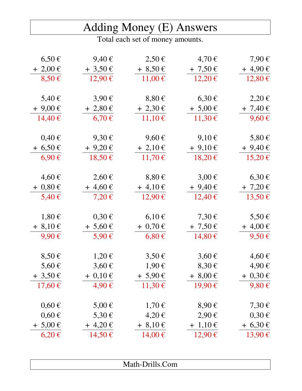|--|

| $6,50 \in$     | $9,40 \in$   | $2,50 \in$   | 4,70€        | 7,90€        |
|----------------|--------------|--------------|--------------|--------------|
| $+2,00 \in$    | $+3,50 \in$  | $+8,50 \in$  | $+ 7,50 \in$ | $+4,90 \in$  |
| $8,50 \in$     | 12,90€       | 11,00€       | $12,20 \in$  | 12,80€       |
|                |              |              |              |              |
| 5,40 €         | $3,90 \in$   | $8,80 \in$   | $6,30 \in$   | 2,20€        |
| $+9,00 \in$    | $+2,80 \in$  | $+2,30 \in$  | $+ 5,00 \in$ | $+ 7,40 \in$ |
| 14,40€         | $6,70 \in$   | $11,10 \in$  | 11,30€       | $9,60 \in$   |
|                |              |              |              |              |
| $0,40 \in$     | $9,30 \in$   | $9,60 \in$   | 9,10€        | $5,80 \in$   |
| $+6,50 \in$    | $+9,20 \in$  | $+ 2,10 \in$ | $+9,10 \in$  | $+9,40 \in$  |
| 6,90€          | 18,50€       | 11,70€       | $18,20 \in$  | 15,20€       |
|                |              |              |              |              |
| $4,60 \notin$  | $2,60 \in$   | $8,80 \in$   | $3,00 \in$   | $6,30 \in$   |
| $+$ 0,80 $\in$ | $+4,60 \in$  | $+4,10 \in$  | $+9,40 \in$  | $+ 7,20 \in$ |
| $5,40 \in$     | 7,20€        | 12,90€       | $12,40 \in$  | 13,50€       |
|                |              |              |              |              |
| $1,80 \in$     | $0,30 \in$   | $6,10 \in$   | 7,30 €       | $5,50 \in$   |
| $+8,10 \in$    | $+ 5,60 \in$ | $+ 0,70 \in$ | $+ 7,50 \in$ | $+4,00 \in$  |
| $9,90 \in$     | $5,90 \in$   | $6,80 \in$   | $14,80 \in$  | $9,50 \in$   |
|                |              |              |              |              |
| $8,50 \in$     | $1,20 \in$   | $3,50 \in$   | $3,60 \in$   | 4,60€        |
| 5,60 €         | $3,60 \in$   | $1,90 \in$   | $8,30 \in$   | 4,90€        |
| $+3,50 \in$    | $+ 0,10 \in$ | $+ 5,90 \in$ | $+8,00 \in$  | $+ 0,30 \in$ |
| 17,60€         | 4,90€        | 11,30€       | 19,90€       | 9,80€        |
|                |              |              |              |              |
| $0,60 \in$     | $5,00 \in$   | 1,70€        | $8,90 \in$   | $7,30 \in$   |
| $0,60 \in$     | 5,30 €       | 4,20€        | $2,90 \in$   | $0,30 \in$   |
| $+ 5,00 \in$   | $+4,20 \in$  | $+8,10 \in$  | $+ 1,10 \in$ | $+6,30 \in$  |
| $6,20 \in$     | 14,50€       | 14,00€       | 12,90€       | 13,90€       |
|                |              |              |              |              |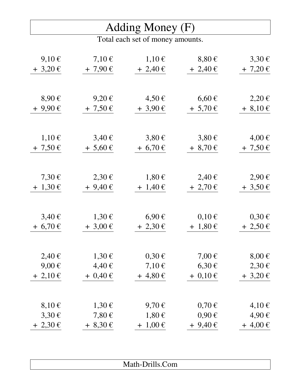#### Adding Money (F)

| $9,10 \in$   | $7,10 \in$   | $1,10 \in$   | $8,80 \in$   | $3,30 \in$   |
|--------------|--------------|--------------|--------------|--------------|
| $+3,20 \in$  | $+7,90 \in$  | $+ 2,40 \in$ | $+ 2,40 \in$ | $+ 7,20 \in$ |
|              |              |              |              |              |
|              |              |              |              |              |
| $8,90 \in$   | $9,20 \in$   | 4,50€        | $6,60 \in$   | $2,20 \in$   |
| $+9,90 \in$  | $+ 7,50 \in$ | $+3,90 \in$  | $+ 5,70 \in$ | $+8,10 \in$  |
|              |              |              |              |              |
|              |              |              |              |              |
| $1,10 \in$   | $3,40 \in$   | $3,80 \in$   | $3,80 \in$   | 4,00€        |
| $+ 7,50 \in$ | $+ 5,60 \in$ | $+6,70 \in$  | $+8,70 \in$  | $+ 7,50 \in$ |
|              |              |              |              |              |
| 7,30 €       | $2,30 \in$   | 1,80€        | 2,40€        | $2,90 \in$   |
| $+ 1,30 \in$ | $+9,40 \in$  | $+ 1,40 \in$ | $+2,70 \in$  | $+3,50 \in$  |
|              |              |              |              |              |
|              |              |              |              |              |
| $3,40 \in$   | $1,30 \in$   | $6,90 \in$   | $0,10 \in$   | $0,30 \in$   |
| $+ 6,70 \in$ | $+3,00 \in$  | $+ 2,30 \in$ | $+ 1,80 \in$ | $+2,50 \in$  |
|              |              |              |              |              |
| $2,40 \in$   | 1,30€        | $0,30 \in$   | $7,00 \in$   | $8,00 \in$   |
| $9,00 \in$   | 4,40€        | $7,10 \in$   | 6,30€        | 2,30€        |
| $+2,10 \in$  | $+ 0,40 \in$ | $+4,80 \in$  | $+ 0,10 \in$ | $+3,20$ €    |
|              |              |              |              |              |
| $8,10 \in$   | 1,30€        | 9,70€        | $0,70 \in$   | $4,10 \in$   |
| 3,30€        | $7,80 \in$   | $1,80 \in$   | $0,90 \in$   | 4,90€        |
| $+ 2,30 \in$ | $+8,30 \in$  | $+ 1,00 \in$ | $+9,40 \in$  | $+4,00 \in$  |
|              |              |              |              |              |

| .<br>$-$<br>om<br><b>Brandfield</b><br>MARIE DIMINICUM |
|--------------------------------------------------------|
|                                                        |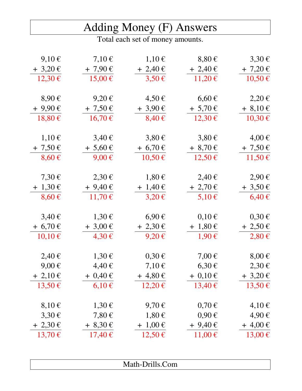|                                  |              | Adding Money (F) Answers |              |              |  |
|----------------------------------|--------------|--------------------------|--------------|--------------|--|
| Total each set of money amounts. |              |                          |              |              |  |
| $9,10 \in$                       | $7,10 \in$   | $1,10 \in$               | $8,80 \in$   | $3,30 \in$   |  |
| $+3,20 \in$                      | $+7,90 \in$  | $+2,40 \in$              | $+ 2,40 \in$ | $+ 7,20 \in$ |  |
| $12,30 \in$                      | $15,00 \in$  | $3,50 \in$               | $11,20 \in$  | 10,50€       |  |
| $8,90 \in$                       | $9,20 \in$   | 4,50€                    | $6,60 \in$   | 2,20€        |  |
| $+9,90 \in$                      | $+ 7,50 \in$ | $+3,90 \in$              | $+ 5,70 \in$ | $+8,10 \in$  |  |
| 18,80€                           | $16,70 \in$  | $8,40 \in$               | 12,30€       | 10,30€       |  |
| $1,10 \in$                       | $3,40 \in$   | $3,80 \in$               | $3,80 \in$   | 4,00€        |  |
| $+ 7,50 \in$                     | $+ 5,60 \in$ | $+ 6,70 \in$             | $+8,70 \in$  | $+ 7,50 \in$ |  |
| $8,60 \in$                       | $9,00 \in$   | $10,50 \in$              | $12,50 \in$  | 11,50€       |  |
| 7,30 €                           | $2,30 \in$   | $1,80 \in$               | 2,40€        | 2,90€        |  |
| $+ 1,30 \in$                     | $+9,40 \in$  | $+ 1,40 \in$             | $+2,70 \in$  | $+3,50 \in$  |  |
| $8,60 \in$                       | 11,70€       | $3,20 \in$               | $5,10 \in$   | $6,40 \in$   |  |
| $3,40 \in$                       | $1,30 \in$   | 6,90€                    | $0,10 \in$   | $0,30 \in$   |  |
| $+6,70 \in$                      | $+3,00 \in$  | $+ 2,30 \in$             | $+ 1,80 \in$ | $+2,50 \in$  |  |
| 10,10€                           | $4,30 \in$   | $9,20 \in$               | $1,90 \in$   | 2,80€        |  |
| 2,40€                            | $1,30 \in$   | $0,30 \in$               | $7,00 \in$   | $8,00 \in$   |  |
| $9,00 \in$                       | 4,40€        | $7,10 \in$               | $6,30 \in$   | 2,30€        |  |
| $+ 2,10 \in$                     | $+ 0,40 \in$ | $+4,80 \in$              | $+ 0,10 \in$ | $+3,20 \in$  |  |
| 13,50€                           | $6,10 \in$   | $12,20 \in$              | $13,40 \in$  | 13,50€       |  |
| $8,10 \in$                       | $1,30 \in$   | $9,70 \in$               | $0,70 \in$   | $4,10 \in$   |  |
| $3,30 \in$                       | $7,80 \in$   | $1,80 \in$               | $0,90 \in$   | 4,90€        |  |
| $+2,30 \in$                      | $+8,30 \in$  | $+ 1,00 \in$             | $+9,40 \in$  | $+4,00 \in$  |  |
| 13,70€                           | $17,40 \in$  | $12,50 \in$              | $11,00 \in$  | $13,00 \in$  |  |
|                                  |              |                          |              |              |  |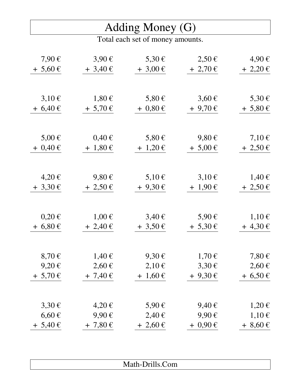#### Adding Money (G)

| 7,90€        | $3,90 \in$   | 5,30 €       | $2,50 \in$   | 4,90€           |
|--------------|--------------|--------------|--------------|-----------------|
| $+ 5,60 \in$ | $+3,40 \in$  | $+3,00 \in$  | $+ 2,70 \in$ | $+ 2,20 \in$    |
|              |              |              |              |                 |
|              |              |              |              |                 |
| $3,10 \in$   | $1,80 \in$   | $5,80 \in$   | $3,60 \in$   | 5,30 €          |
| $+6,40 \in$  | $+ 5,70 \in$ | $+ 0,80 \in$ | $+9,70$ €    | $+ 5,80 \in$    |
|              |              |              |              |                 |
|              |              |              |              |                 |
| $5,00 \in$   | $0,40 \in$   | 5,80 €       | $9,80 \in$   | $7,10 \in$      |
| $+ 0,40 \in$ | $+ 1,80 \in$ | $+ 1,20 \in$ | $+ 5,00 \in$ | $+ 2,50 \in$    |
|              |              |              |              |                 |
|              |              |              |              |                 |
| 4,20€        | $9,80 \in$   | $5,10 \in$   | $3,10 \in$   | 1,40€           |
| $+3,30 \in$  | $+ 2,50 \in$ | $+9,30 \in$  | $+ 1,90 \in$ | $+2,50 \in$     |
|              |              |              |              |                 |
|              |              |              |              |                 |
| $0,20 \in$   | $1,00 \in$   | $3,40 \in$   | $5,90 \in$   | $1,10 \in$      |
| $+6,80 \in$  | $+ 2,40 \in$ | $+3,50 \in$  | $+ 5,30 \in$ | $+4,30 \in$     |
|              |              |              |              |                 |
|              |              |              |              |                 |
| $8,70 \in$   | 1,40€        | $9,30 \in$   | $1,70 \in$   | 7,80 $\epsilon$ |
| $9,20 \in$   | $2,60 \in$   | $2,10 \in$   | 3,30€        | $2,60 \in$      |
| $+ 5,70 \in$ | $+ 7,40 \in$ | $+ 1,60 \in$ | $+9,30 \in$  | $+6,50 \in$     |
|              |              |              |              |                 |
|              |              |              |              |                 |
| $3,30 \in$   | 4,20€        | 5,90 €       | 9,40€        | $1,20 \in$      |
| $6,60 \in$   | $9,90 \in$   | 2,40€        | $9,90 \in$   | $1,10 \in$      |
| $+ 5,40 \in$ | $+ 7,80 \in$ | $+2,60 \in$  | $+ 0,90 \in$ | $+8,60 \in$     |

| Com<br><b>THAMIL DITION COILL</b> |
|-----------------------------------|
|                                   |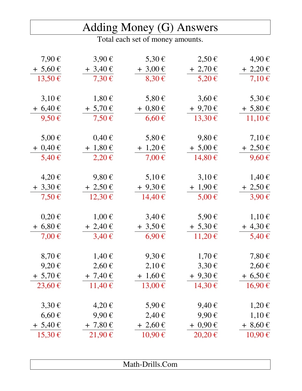|  | Adding Money (G) Answers |
|--|--------------------------|
|  |                          |

| 7,90€        | $3,90 \in$   | 5,30 €       | $2,50 \in$   | 4,90€        |
|--------------|--------------|--------------|--------------|--------------|
| $+ 5,60 \in$ | $+3,40 \in$  | $+3,00 \in$  | $+ 2,70 \in$ | $+2,20 \in$  |
| 13,50€       | $7,30 \in$   | $8,30 \in$   | $5,20 \in$   | $7,10 \in$   |
|              |              |              |              |              |
| $3,10 \in$   | $1,80 \in$   | $5,80 \in$   | $3,60 \in$   | $5,30 \in$   |
| $+6,40 \in$  | $+ 5,70 \in$ | $+ 0,80 \in$ | $+9,70 \in$  | $+ 5,80 \in$ |
| $9,50 \in$   | $7,50 \in$   | $6,60 \in$   | 13,30€       | 11,10€       |
|              |              |              |              |              |
| $5,00 \in$   | $0,40 \in$   | $5,80 \in$   | $9,80 \in$   | $7,10 \in$   |
| $+ 0,40 \in$ | $+ 1,80 \in$ | $+ 1,20 \in$ | $+ 5,00 \in$ | $+ 2,50 \in$ |
| 5,40 €       | $2,20 \in$   | $7,00 \in$   | 14,80€       | $9,60 \in$   |
|              |              |              |              |              |
| 4,20€        | $9,80 \in$   | $5,10 \in$   | $3,10 \in$   | 1,40€        |
| $+3,30 \in$  | $+2,50 \in$  | $+9,30 \in$  | $+ 1,90 \in$ | $+ 2,50 \in$ |
| $7,50 \in$   | 12,30€       | 14,40€       | $5,00 \in$   | $3,90 \in$   |
|              |              |              |              |              |
| $0,20 \in$   | $1,00 \in$   | $3,40 \in$   | 5,90 €       | $1,10 \in$   |
| $+6,80 \in$  | $+2,40 \in$  | $+3,50 \in$  | $+ 5,30 \in$ | $+4,30 \in$  |
| $7,00 \in$   | $3,40 \in$   | $6,90 \in$   | $11,20 \in$  | 5,40 €       |
|              |              |              |              |              |
| $8,70 \in$   | 1,40€        | $9,30 \in$   | $1,70 \in$   | $7,80 \in$   |
| $9,20 \in$   | $2,60 \in$   | $2,10 \in$   | $3,30 \in$   | $2,60 \in$   |
| $+ 5,70 \in$ | $+ 7,40 \in$ | $+ 1,60 \in$ | $+9,30 \in$  | $+6,50 \in$  |
| 23,60€       | 11,40€       | 13,00€       | 14,30€       | 16,90€       |
|              |              |              |              |              |
| $3,30 \in$   | 4,20€        | $5,90 \in$   | 9,40€        | $1,20 \in$   |
| $6,60 \in$   | $9,90 \in$   | 2,40€        | $9,90 \in$   | $1,10 \in$   |
| $+ 5,40 \in$ | $+ 7,80 \in$ | $+2,60 \in$  | $+ 0,90 \in$ | $+8,60 \in$  |
| 15,30€       | $21,90 \in$  | 10,90€       | $20,20 \in$  | 10,90€       |
|              |              |              |              |              |

| Math-Drills.Com |
|-----------------|
|-----------------|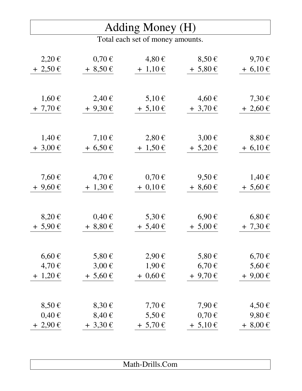#### Adding Money (H)

| 2,20€           | $0,70 \in$   | 4,80€        | $8,50 \in$   | 9,70€        |
|-----------------|--------------|--------------|--------------|--------------|
| $+2,50 \in$     | $+8,50 \in$  | $+ 1,10 \in$ | $+ 5,80 \in$ | $+6,10 \in$  |
|                 |              |              |              |              |
|                 |              |              |              |              |
| 1,60€           | 2,40€        | $5,10 \in$   | 4,60€        | $7,30 \in$   |
| $+7,70 \in$     | $+9,30 \in$  | $+ 5,10 \in$ | $+3,70 \in$  | $+2,60 \in$  |
|                 |              |              |              |              |
|                 |              |              |              |              |
| 1,40€           | $7,10 \in$   | $2,80 \in$   | $3,00 \in$   | $8,80 \in$   |
| $+3,00 \in$     | $+6,50 \in$  | $+ 1,50 \in$ | $+ 5,20 \in$ | $+6,10 \in$  |
|                 |              |              |              |              |
| 7,60 $\epsilon$ | 4,70€        | $0,70 \in$   | $9,50 \in$   | 1,40€        |
| $+9,60 \in$     | $+ 1,30 \in$ | $+ 0.10 \in$ | $+8,60 \in$  | $+ 5,60 \in$ |
|                 |              |              |              |              |
|                 |              |              |              |              |
| $8,20 \in$      | $0,40 \in$   | 5,30 €       | 6,90€        | $6,80 \in$   |
| $+ 5,90 \in$    | $+8,80 \in$  | $+ 5,40 \in$ | $+ 5,00 \in$ | $+ 7,30 \in$ |
|                 |              |              |              |              |
| $6,60 \in$      | $5,80 \in$   | $2,90 \in$   | 5,80 €       | 6,70€        |
| 4,70€           | $3,00 \in$   | 1,90€        | 6,70€        | 5,60 €       |
| $+ 1,20 \in$    | $+ 5,60 \in$ | $+ 0,60 \in$ | $+9,70$ €    | $+9,00 \in$  |
|                 |              |              |              |              |
| $8,50 \in$      | $8,30 \in$   | 7,70€        | 7,90 €       | 4,50€        |
| $0,40 \in$      | 8,40€        | 5,50 €       | $0,70 \in$   | $9,80 \in$   |
|                 |              |              |              |              |
| $+2,90 \in$     | $+3,30 \in$  | $+ 5,70 \in$ | $+ 5,10 \in$ | $+8,00 \in$  |

| .<br>$\mathbf{A}$  |  |
|--------------------|--|
| Malii-Dhiiis.Coill |  |
|                    |  |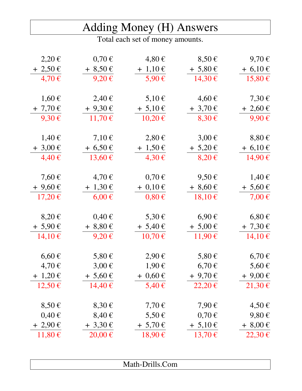|                 |              | Adding Money (H) Answers         |              |              |
|-----------------|--------------|----------------------------------|--------------|--------------|
|                 |              | Total each set of money amounts. |              |              |
|                 |              |                                  |              |              |
| 2,20€           | $0,70 \in$   | 4,80€                            | $8,50 \in$   | 9,70€        |
| $+ 2,50 \in$    | $+8,50 \in$  | $+ 1,10 \in$                     | $+ 5,80 \in$ | $+ 6,10 \in$ |
| 4,70€           | $9,20 \in$   | $5,90 \in$                       | 14,30€       | 15,80€       |
| $1,60 \in$      | $2,40 \in$   | $5,10 \in$                       | 4,60€        | 7,30 €       |
| $+7,70 \in$     | $+9,30 \in$  | $+ 5,10 \in$                     | $+3,70 \in$  | $+2,60 \in$  |
| $9,30 \in$      | 11,70€       | $10,20 \in$                      | $8,30 \in$   | 9,90€        |
|                 |              |                                  |              |              |
| 1,40€           | 7,10 $\in$   | $2,80 \in$                       | $3,00 \in$   | $8,80 \in$   |
| $+3,00 \in$     | $+ 6,50 \in$ | $+ 1,50 \in$                     | $+ 5,20 \in$ | $+ 6,10 \in$ |
| $4,40 \in$      | 13,60€       | $4,30 \in$                       | $8,20 \in$   | 14,90€       |
| 7,60 $\epsilon$ | 4,70€        | $0,70 \in$                       | $9,50 \in$   | 1,40€        |
| $+9,60 \in$     | $+ 1,30 \in$ | $+ 0,10 \in$                     | $+8,60 \in$  | $+ 5,60 \in$ |
| $17,20 \in$     | $6,00 \in$   | $0,80 \in$                       | $18,10 \in$  | 7,00 €       |
|                 |              |                                  |              |              |
| $8,20 \in$      | $0,40 \in$   | $5,30 \in$                       | $6,90 \in$   | $6,80 \in$   |
| $+ 5,90 \in$    | $+8,80 \in$  | $+ 5,40 \in$                     | $+ 5,00 \in$ | $+ 7,30 \in$ |
| $14,10 \in$     | $9,20 \in$   | $10,70 \in$                      | 11,90€       | $14,10 \in$  |
| $6,60 \in$      | 5,80 €       | 2,90€                            | $5,80 \in$   | 6,70€        |
| 4,70€           | $3,00 \in$   | 1,90€                            | $6,70 \in$   | 5,60 €       |
| $+ 1,20 \in$    | $+ 5,60 \in$ | $+ 0,60 \in$                     | $+9,70 \in$  | $+9,00 \in$  |
|                 |              |                                  |              |              |
| $12,50 \in$     | 14,40€       | $5,40 \in$                       | $22,20 \in$  | 21,30€       |
| $8,50 \in$      | $8,30 \in$   | $7,70 \in$                       | $7,90 \in$   | 4,50€        |
| $0,40 \in$      | $8,40 \in$   | $5,50 \in$                       | $0,70 \in$   | $9,80 \in$   |
| $+2,90 \in$     | $+3,30 \in$  | $+ 5,70 \in$                     | $+ 5,10 \in$ | $+8,00 \in$  |

Math-Drills.Com

11,80 € 20,00 € 18,90 € 13,70 € 22,30 €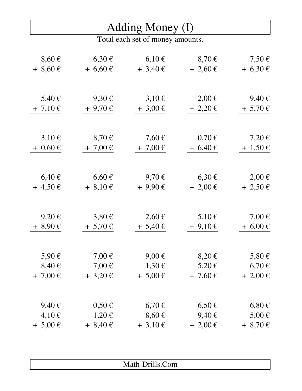### Adding Money (I)

| $8,60 \in$          | $6,30 \in$               | $6,10 \in$   | $8,70 \in$               | $7,50 \in$          |
|---------------------|--------------------------|--------------|--------------------------|---------------------|
| $+8,60 \in$         | $+6,60 \in$              | $+3,40 \in$  | $+2,60 \in$              | $+6,30 \in$         |
|                     |                          |              |                          |                     |
|                     |                          |              |                          |                     |
| $5,40 \in$          | $9,30 \in$               | $3,10 \in$   | $2,00 \in$               | 9,40€               |
| $+ 7,10 \in$        | $+9,70 \in$              | $+3,00 \in$  | $+ 2,20 \in$             | $+ 5,70 \in$        |
|                     |                          |              |                          |                     |
|                     |                          |              |                          |                     |
| $3,10 \in$          | $8,70 \in$               | 7,60€        | $0,70 \in$               | 7,20€               |
| $+ 0,60 \in$        | $+7,00 \in$              | $+7,00 \in$  | $+6,40 \in$              | $+ 1,50 \in$        |
|                     |                          |              |                          |                     |
| $6,40 \in$          | $6,60 \in$               | 9,70€        | $6,30 \in$               | $2,00 \in$          |
| $+4,50 \in$         | $+8,10 \in$              | $+9,90 \in$  | $+2,00 \in$              | $+2,50 \in$         |
|                     |                          |              |                          |                     |
|                     |                          |              |                          |                     |
| $9,20 \in$          | $3,80 \in$               | $2,60 \in$   | $5,10 \in$               | 7,00€               |
| $+8,90 \in$         | $+ 5,70 \in$             | $+ 5,40 \in$ | $+9,10 \in$              | $+6,00 \in$         |
|                     |                          |              |                          |                     |
|                     |                          | $9,00 \in$   |                          |                     |
| 5,90€<br>$8,40 \in$ | $7,00 \in$<br>$7,00 \in$ | 1,30€        | $8,20 \in$<br>$5,20 \in$ | $5,80 \in$<br>6,70€ |
| $+7,00 \in$         |                          |              | $+7,60 \in$              |                     |
|                     | $+3,20$ €                | $+ 5,00 \in$ |                          | $+2,00 \in$         |
|                     |                          |              |                          |                     |
| 9,40€               | $0,50 \in$               | $6,70 \in$   | $6,50 \in$               | $6,80 \in$          |
| $4,10 \in$          | $1,20 \in$               | $8,60 \in$   | $9,40 \in$               | 5,00 €              |
| $+ 5,00 \in$        | $+8,40 \in$              | $+3,10 \in$  | $+2,00 \in$              | $+8,70 \in$         |

| .<br>$\mathbf{r}$<br>$\sim$<br><b>OIII</b><br>$\mathbf{r}$ |
|------------------------------------------------------------|
|                                                            |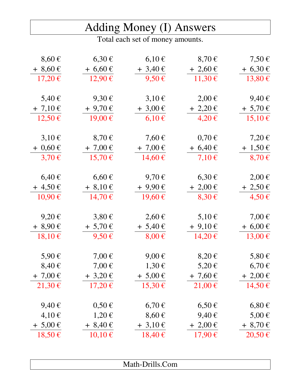### Adding Money (I) Answers

| $8,60 \in$   | $6,30 \in$   | $6,10 \in$   | $8,70 \in$   | $7,50 \in$   |
|--------------|--------------|--------------|--------------|--------------|
| $+8,60 \in$  | $+6,60 \in$  | $+3,40 \in$  | $+2,60 \in$  | $+6,30 \in$  |
| $17,20 \in$  | 12,90€       | $9,50 \in$   | 11,30€       | 13,80€       |
|              |              |              |              |              |
| $5,40 \in$   | $9,30 \in$   | $3,10 \in$   | $2,00 \in$   | 9,40€        |
| $+ 7,10 \in$ | $+9,70$ €    | $+3,00 \in$  | $+ 2,20 \in$ | $+ 5,70 \in$ |
| $12,50 \in$  | 19,00€       | $6,10 \in$   | $4,20 \in$   | 15,10€       |
|              |              |              |              |              |
| $3,10 \in$   | $8,70 \in$   | $7,60 \in$   | $0,70 \in$   | $7,20 \in$   |
| $+ 0,60 \in$ | $+ 7,00 \in$ | $+7,00 \in$  | $+ 6,40 \in$ | $+1,50 \in$  |
| $3,70 \in$   | 15,70€       | 14,60€       | $7,10 \in$   | $8,70 \in$   |
|              |              |              |              |              |
| $6,40 \in$   | $6,60 \in$   | $9,70 \in$   | 6,30€        | $2,00 \in$   |
| $+4,50 \in$  | $+8,10 \in$  | $+9,90 \in$  | $+ 2,00 \in$ | $+2,50 \in$  |
| 10,90€       | 14,70€       | 19,60€       | $8,30 \in$   | 4,50€        |
|              |              |              |              |              |
| $9,20 \in$   | $3,80 \in$   | $2,60 \in$   | $5,10 \in$   | $7,00 \in$   |
| $+8,90 \in$  | $+ 5,70 \in$ | $+ 5,40 \in$ | $+9,10 \in$  | $+6,00 \in$  |
| $18,10 \in$  | $9,50 \in$   | $8,00 \in$   | 14,20€       | $13,00 \in$  |
| $5,90 \in$   | $7,00 \in$   | $9,00 \in$   | $8,20 \in$   | $5,80 \in$   |
| $8,40 \in$   | $7,00 \in$   | 1,30€        | 5,20€        | $6,70 \in$   |
| $+ 7,00 \in$ | $+3,20$ €    | $+ 5,00 \in$ | $+ 7,60 \in$ | $+2,00 \in$  |
| 21,30€       | 17,20€       | 15,30€       | 21,00€       | 14,50€       |
|              |              |              |              |              |
| 9,40€        | $0,50 \in$   | $6,70 \in$   | $6,50 \in$   | $6,80 \in$   |
| $4,10 \in$   | $1,20 \in$   | $8,60 \in$   | 9,40€        | $5,00 \in$   |
| $+ 5,00 \in$ | $+8,40 \in$  | $+3,10 \in$  | $+2,00 \in$  | $+8,70 \in$  |
| 18,50€       | $10,10 \in$  | $18,40 \in$  | 17,90€       | 20,50€       |
|              |              |              |              |              |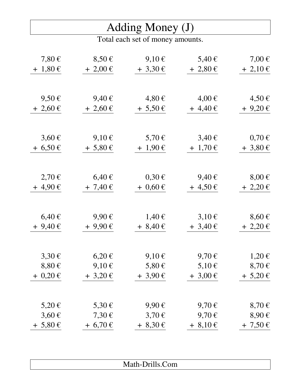#### Adding Money (J)

| 7,80 $\epsilon$ | $8,50 \in$   | $9,10 \in$   | 5,40 €       | $7,00 \in$   |
|-----------------|--------------|--------------|--------------|--------------|
| $+ 1,80 \in$    | $+ 2,00 \in$ | $+3,30 \in$  | $+2,80 \in$  | $+ 2,10 \in$ |
|                 |              |              |              |              |
|                 |              |              |              |              |
| $9,50 \in$      | $9,40 \in$   | 4,80€        | $4,00 \in$   | 4,50€        |
| $+2,60 \in$     | $+2,60 \in$  | $+ 5,50 \in$ | $+4,40 \in$  | $+9,20 \in$  |
|                 |              |              |              |              |
| $3,60 \in$      | $9,10 \in$   | 5,70 €       | $3,40 \in$   | $0,70 \in$   |
| $+6,50 \in$     | $+ 5,80 \in$ | $+ 1,90 \in$ | $+ 1,70 \in$ | $+3,80 \in$  |
|                 |              |              |              |              |
| 2,70€           | $6,40 \in$   | $0,30 \in$   | 9,40€        | $8,00 \in$   |
| $+4,90 \in$     | $+ 7,40 \in$ | $+ 0,60 \in$ | $+4,50 \in$  |              |
|                 |              |              |              | $+2,20 \in$  |
|                 |              |              |              |              |
| $6,40 \in$      | $9,90 \in$   | 1,40€        | $3,10 \in$   | $8,60 \in$   |
| $+9,40 \in$     | $+9,90 \in$  | $+8,40 \in$  | $+3,40 \in$  | $+2,20 \in$  |
|                 |              |              |              |              |
| $3,30 \in$      | $6,20 \in$   | $9,10 \in$   | $9,70 \in$   | $1,20 \in$   |
| $8,80 \in$      | 9,10€        | $5,80 \in$   | 5,10 €       | $8,70 \in$   |
| $+ 0,20 \in$    | $+3,20$ €    | $+3,90 \in$  | $+3,00 \in$  | $+ 5,20 \in$ |
|                 |              |              |              |              |
| 5,20€           | 5,30 €       | $9,90 \in$   | 9,70€        | $8,70 \in$   |
| $3,60 \in$      | 7,30 €       | $3,70 \in$   | 9,70€        | $8,90 \in$   |
| $+ 5,80 \in$    | $+ 6,70 \in$ | $+8,30 \in$  | $+8,10 \in$  | $+ 7,50 \in$ |
|                 |              |              |              |              |

| $\bullet$ - $\bullet$ - $\bullet$<br>-<br>$\mathbf{A}$<br><b>Braker</b><br>$\mathfrak{m}$<br>$\mu$ $\mu$ |
|----------------------------------------------------------------------------------------------------------|
|                                                                                                          |